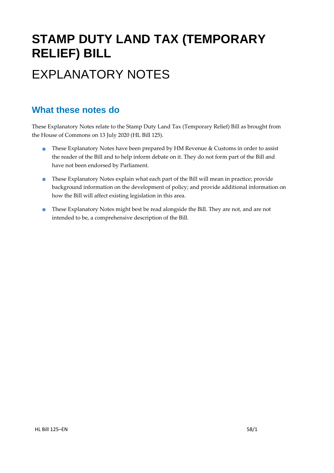# **STAMP DUTY LAND TAX (TEMPORARY RELIEF) BILL** EXPLANATORY NOTES

### **What these notes do**

- These Explanatory Notes have been prepared by HM Revenue & Customs in order to assist the reader of the Bill and to help inform debate on it. They do not form part of the Bill and have not been endorsed by Parliament.
- These Explanatory Notes explain what each part of the Bill will mean in practice; provide background information on the development of policy; and provide additional information on how the Bill will affect existing legislation in this area.
- These Explanatory Notes might best be read alongside the Bill. They are not, and are not intended to be, a comprehensive description of the Bill.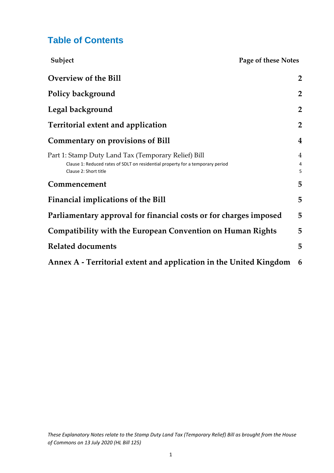### **Table of Contents**

| Subject                                                                                                                                                        | Page of these Notes      |
|----------------------------------------------------------------------------------------------------------------------------------------------------------------|--------------------------|
| Overview of the Bill                                                                                                                                           | $\overline{2}$           |
| Policy background                                                                                                                                              | $\overline{2}$           |
| Legal background                                                                                                                                               | $\overline{2}$           |
| <b>Territorial extent and application</b>                                                                                                                      | $\overline{2}$           |
| <b>Commentary on provisions of Bill</b>                                                                                                                        | $\boldsymbol{4}$         |
| Part 1: Stamp Duty Land Tax (Temporary Relief) Bill<br>Clause 1: Reduced rates of SDLT on residential property for a temporary period<br>Clause 2: Short title | $\overline{4}$<br>4<br>5 |
| Commencement                                                                                                                                                   | 5                        |
| <b>Financial implications of the Bill</b>                                                                                                                      | 5                        |
| Parliamentary approval for financial costs or for charges imposed                                                                                              | 5                        |
| Compatibility with the European Convention on Human Rights                                                                                                     | 5                        |
| <b>Related documents</b>                                                                                                                                       | 5                        |
| Annex A - Territorial extent and application in the United Kingdom                                                                                             | 6                        |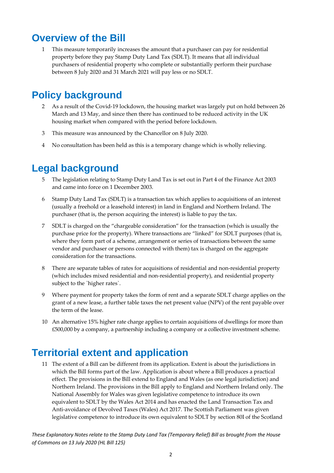## <span id="page-2-0"></span>**Overview of the Bill**

1 This measure temporarily increases the amount that a purchaser can pay for residential property before they pay Stamp Duty Land Tax (SDLT). It means that all individual purchasers of residential property who complete or substantially perform their purchase between 8 July 2020 and 31 March 2021 will pay less or no SDLT.

## <span id="page-2-1"></span>**Policy background**

- 2 As a result of the Covid-19 lockdown, the housing market was largely put on hold between 26 March and 13 May, and since then there has continued to be reduced activity in the UK housing market when compared with the period before lockdown.
- 3 This measure was announced by the Chancellor on 8 July 2020.
- 4 No consultation has been held as this is a temporary change which is wholly relieving.

## <span id="page-2-2"></span>**Legal background**

- 5 The legislation relating to Stamp Duty Land Tax is set out in Part 4 of the Finance Act 2003 and came into force on 1 December 2003.
- 6 Stamp Duty Land Tax (SDLT) is a transaction tax which applies to acquisitions of an interest (usually a freehold or a leasehold interest) in land in England and Northern Ireland. The purchaser (that is, the person acquiring the interest) is liable to pay the tax.
- 7 SDLT is charged on the "chargeable consideration" for the transaction (which is usually the purchase price for the property). Where transactions are "linked" for SDLT purposes (that is, where they form part of a scheme, arrangement or series of transactions between the same vendor and purchaser or persons connected with them) tax is charged on the aggregate consideration for the transactions.
- 8 There are separate tables of rates for acquisitions of residential and non-residential property (which includes mixed residential and non-residential property), and residential property subject to the `higher rates`.
- Where payment for property takes the form of rent and a separate SDLT charge applies on the grant of a new lease, a further table taxes the net present value (NPV) of the rent payable over the term of the lease.
- 10 An alternative 15% higher rate charge applies to certain acquisitions of dwellings for more than £500,000 by a company, a partnership including a company or a collective investment scheme.

## <span id="page-2-3"></span>**Territorial extent and application**

11 The extent of a Bill can be different from its application. Extent is about the jurisdictions in which the Bill forms part of the law. Application is about where a Bill produces a practical effect. The provisions in the Bill extend to England and Wales (as one legal jurisdiction) and Northern Ireland. The provisions in the Bill apply to England and Northern Ireland only. The National Assembly for Wales was given legislative competence to introduce its own equivalent to SDLT by the Wales Act 2014 and has enacted the Land Transaction Tax and Anti-avoidance of Devolved Taxes (Wales) Act 2017. The Scottish Parliament was given legislative competence to introduce its own equivalent to SDLT by section 80I of the Scotland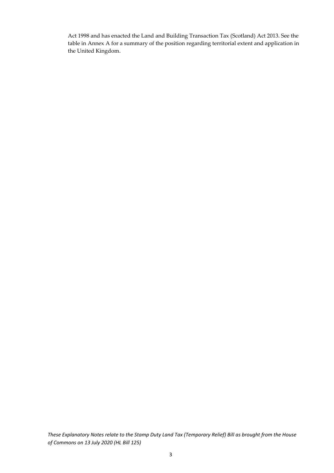Act 1998 and has enacted the Land and Building Transaction Tax (Scotland) Act 2013. See the table in Annex A for a summary of the position regarding territorial extent and application in the United Kingdom.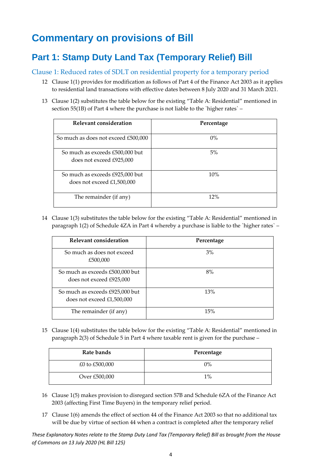## <span id="page-4-0"></span>**Commentary on provisions of Bill**

### <span id="page-4-1"></span>**Part 1: Stamp Duty Land Tax (Temporary Relief) Bill**

#### <span id="page-4-2"></span>Clause 1: Reduced rates of SDLT on residential property for a temporary period

- 12 Clause 1(1) provides for modification as follows of Part 4 of the Finance Act 2003 as it applies to residential land transactions with effective dates between 8 July 2020 and 31 March 2021.
- 13 Clause 1(2) substitutes the table below for the existing "Table A: Residential" mentioned in section 55(1B) of Part 4 where the purchase is not liable to the `higher rates` –

| Relevant consideration                                          | Percentage |
|-----------------------------------------------------------------|------------|
| So much as does not exceed £500,000                             | $0\%$      |
| So much as exceeds £500,000 but<br>does not exceed £925,000     | 5%         |
| So much as exceeds £925,000 but<br>does not exceed $£1,500,000$ | 10%        |
| The remainder (if any)                                          | 12%        |

14 Clause 1(3) substitutes the table below for the existing "Table A: Residential" mentioned in paragraph 1(2) of Schedule 4ZA in Part 4 whereby a purchase is liable to the `higher rates` –

| Relevant consideration                                          | Percentage |
|-----------------------------------------------------------------|------------|
| So much as does not exceed<br>£500,000                          | 3%         |
| So much as exceeds £500,000 but<br>does not exceed £925,000     | 8%         |
| So much as exceeds £925,000 but<br>does not exceed $£1,500,000$ | 13%        |
| The remainder (if any)                                          | 15%        |

15 Clause 1(4) substitutes the table below for the existing "Table A: Residential" mentioned in paragraph 2(3) of Schedule 5 in Part 4 where taxable rent is given for the purchase –

| Rate bands     | Percentage |
|----------------|------------|
| £0 to £500,000 | $0\%$      |
| Over £500,000  | $1\%$      |

- 16 Clause 1(5) makes provision to disregard section 57B and Schedule 6ZA of the Finance Act 2003 (affecting First Time Buyers) in the temporary relief period.
- 17 Clause 1(6) amends the effect of section 44 of the Finance Act 2003 so that no additional tax will be due by virtue of section 44 when a contract is completed after the temporary relief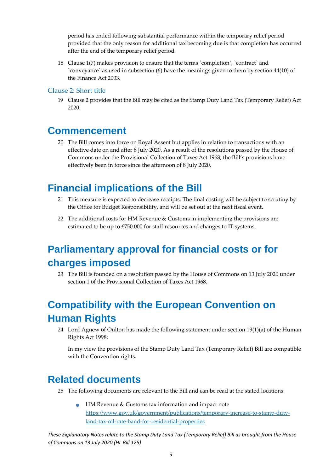period has ended following substantial performance within the temporary relief period provided that the only reason for additional tax becoming due is that completion has occurred after the end of the temporary relief period.

18 Clause 1(7) makes provision to ensure that the terms `completion`, `contract` and `conveyance` as used in subsection (6) have the meanings given to them by section 44(10) of the Finance Act 2003.

#### <span id="page-5-0"></span>Clause 2: Short title

19 Clause 2 provides that the Bill may be cited as the Stamp Duty Land Tax (Temporary Relief) Act 2020.

### <span id="page-5-1"></span>**Commencement**

20 The Bill comes into force on Royal Assent but applies in relation to transactions with an effective date on and after 8 July 2020. As a result of the resolutions passed by the House of Commons under the Provisional Collection of Taxes Act 1968, the Bill's provisions have effectively been in force since the afternoon of 8 July 2020.

## <span id="page-5-2"></span>**Financial implications of the Bill**

- 21 This measure is expected to decrease receipts. The final costing will be subject to scrutiny by the Office for Budget Responsibility, and will be set out at the next fiscal event.
- 22 The additional costs for HM Revenue & Customs in implementing the provisions are estimated to be up to £750,000 for staff resources and changes to IT systems.

## <span id="page-5-3"></span>**Parliamentary approval for financial costs or for charges imposed**

23 The Bill is founded on a resolution passed by the House of Commons on 13 July 2020 under section 1 of the Provisional Collection of Taxes Act 1968.

## <span id="page-5-4"></span>**Compatibility with the European Convention on Human Rights**

24 Lord Agnew of Oulton has made the following statement under section 19(1)(a) of the Human Rights Act 1998:

In my view the provisions of the Stamp Duty Land Tax (Temporary Relief) Bill are compatible with the Convention rights.

## <span id="page-5-5"></span>**Related documents**

- 25 The following documents are relevant to the Bill and can be read at the stated locations:
	- HM Revenue & Customs tax information and impact note [https://www.gov.uk/government/publications/temporary-increase-to-stamp-duty](https://www.gov.uk/government/publications/temporary-increase-to-stamp-duty-land-tax-nil-rate-band-for-residential-properties)[land-tax-nil-rate-band-for-residential-properties](https://www.gov.uk/government/publications/temporary-increase-to-stamp-duty-land-tax-nil-rate-band-for-residential-properties)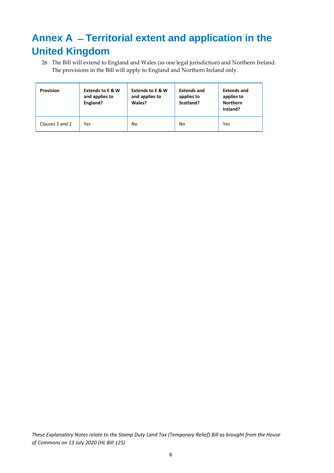## <span id="page-6-0"></span>**Annex A ̶Territorial extent and application in the United Kingdom**

26 The Bill will extend to England and Wales (as one legal jurisdiction) and Northern Ireland. The provisions in the Bill will apply to England and Northern Ireland only.

| Provision       | <b>Extends to E &amp; W</b><br>and applies to<br>England? | <b>Extends to E &amp; W</b><br>and applies to<br>Wales? | <b>Extends and</b><br>applies to<br>Scotland? | <b>Extends and</b><br>applies to<br><b>Northern</b><br>Ireland? |
|-----------------|-----------------------------------------------------------|---------------------------------------------------------|-----------------------------------------------|-----------------------------------------------------------------|
| Clauses 1 and 2 | Yes                                                       | No                                                      | No                                            | Yes                                                             |